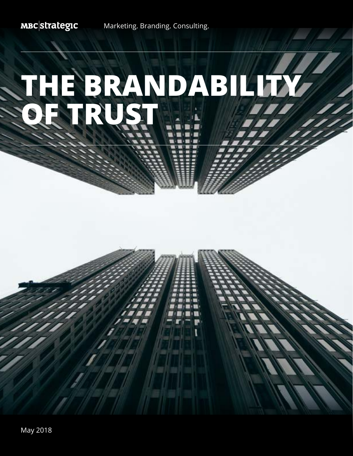**MBC** strategic

Marketing. Branding. Consulting.

# **THE BRANDABILITY OF TRUST**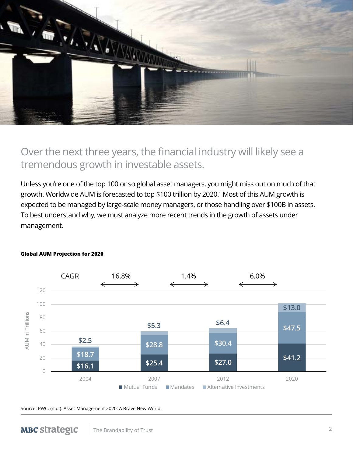

# Over the next three years, the financial industry will likely see a tremendous growth in investable assets.

Unless you're one of the top 100 or so global asset managers, you might miss out on much of that growth. Worldwide AUM is forecasted to top \$100 trillion by 2020.<sup>1</sup> Most of this AUM growth is expected to be managed by large-scale money managers, or those handling over \$100B in assets. To best understand why, we must analyze more recent trends in the growth of assets under management.



### **Global AUM Projection for 2020**

### Source: PWC. (n.d.). Asset Management 2020: A Brave New World.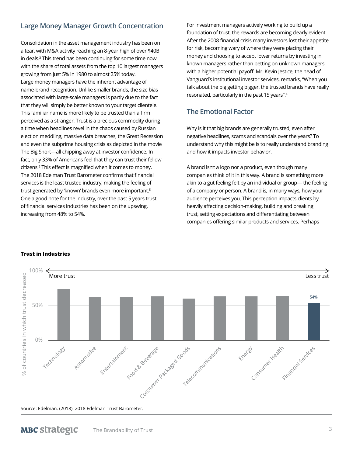# **Large Money Manager Growth Concentration**

Consolidation in the asset management industry has been on a tear, with M&A activity reaching an 8-year high of over \$40B in deals.<sup>3</sup> This trend has been continuing for some time now with the share of total assets from the top 10 largest managers growing from just 5% in 1980 to almost 25% today. Large money managers have the inherent advantage of name-brand recognition. Unlike smaller brands, the size bias associated with large-scale managers is partly due to the fact that they will simply be better known to your target clientele. This familiar name is more likely to be trusted than a firm perceived as a stranger. Trust is a precious commodity during a time when headlines revel in the chaos caused by Russian election meddling, massive data breaches, the Great Recession and even the subprime housing crisis as depicted in the movie The Big Short—all chipping away at investor confidence. In fact, only 33% of Americans feel that they can trust their fellow citizens.<sup>2</sup> This effect is magnified when it comes to money. The 2018 Edelman Trust Barometer confirms that financial services is the least trusted industry, making the feeling of trust generated by 'known' brands even more important.<sup>8</sup> One a good note for the industry, over the past 5 years trust of financial services industries has been on the upswing, increasing from 48% to 54%.

For investment managers actively working to build up a foundation of trust, the rewards are becoming clearly evident. After the 2008 financial crisis many investors lost their appetite for risk, becoming wary of where they were placing their money and choosing to accept lower returns by investing in known managers rather than betting on unknown managers with a higher potential payoff. Mr. Kevin Jestice, the head of Vanguard's institutional investor services, remarks, "When you talk about the big getting bigger, the trusted brands have really resonated, particularly in the past 15 years".<sup>4</sup>

# **The Emotional Factor**

Why is it that big brands are generally trusted, even after negative headlines, scams and scandals over the years? To understand why this might be is to really understand branding and how it impacts investor behavior.

A brand isn't a logo nor a product, even though many companies think of it in this way. A brand is something more akin to a gut feeling felt by an individual or group— the feeling of a company or person. A brand is, in many ways, how your audience perceives you. This perception impacts clients by heavily affecting decision-making, building and breaking trust, setting expectations and differentiating between companies offering similar products and services. Perhaps



### **Trust in Industries**

Source: Edelman. (2018). 2018 Edelman Trust Barometer.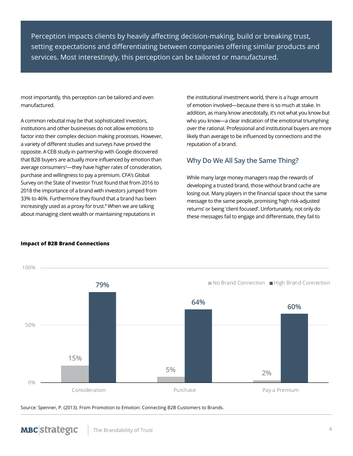Perception impacts clients by heavily affecting decision-making, build or breaking trust, setting expectations and differentiating between companies offering similar products and services. Most interestingly, this perception can be tailored or manufactured.

most importantly, this perception can be tailored and even manufactured.

A common rebuttal may be that sophisticated investors, institutions and other businesses do not allow emotions to factor into their complex decision making processes. However, a variety of different studies and surveys have proved the opposite. A CEB study in partnership with Google discovered that B2B buyers are actually more influenced by emotion than average consumers<sup>5</sup>—they have higher rates of consideration, purchase and willingness to pay a premium. CFA's Global Survey on the State of Investor Trust found that from 2016 to 2018 the importance of a brand with investors jumped from 33% to 46%. Furthermore they found that a brand has been increasingly used as a proxy for trust.<sup>8</sup> When we are talking about managing client wealth or maintaining reputations in

the institutional investment world, there is a huge amount of emotion involved—because there is so much at stake. In addition, as many know anecdotally, it's not what you know but who you know—a clear indication of the emotional triumphing over the rational. Professional and institutional buyers are more likely than average to be influenced by connections and the reputation of a brand.

## **Why Do We All Say the Same Thing?**

While many large money managers reap the rewards of developing a trusted brand, those without brand cache are losing out. Many players in the financial space shout the same message to the same people, promising 'high risk-adjusted returns' or being 'client focused'. Unfortunately, not only do these messages fail to engage and differentiate, they fail to



### **Impact of B2B Brand Connections**

**MBC**strategic

Source: Spenner, P. (2013). From Promotion to Emotion: Connecting B2B Customers to Brands.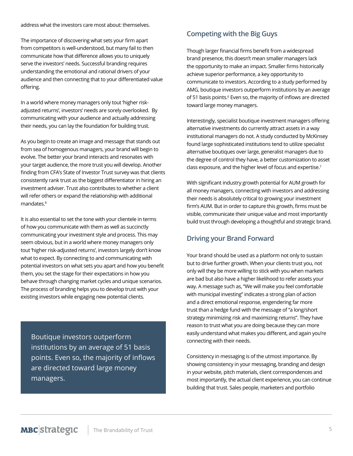address what the investors care most about: themselves.

The importance of discovering what sets your firm apart from competitors is well-understood, but many fail to then communicate how that difference allows you to uniquely serve the investors' needs. Successful branding requires understanding the emotional and rational drivers of your audience and then connecting that to your differentiated value offering.

In a world where money managers only tout 'higher riskadjusted returns', investors' needs are sorely overlooked. By communicating with your audience and actually addressing their needs, you can lay the foundation for building trust.

As you begin to create an image and message that stands out from sea of homogenous managers, your brand will begin to evolve. The better your brand interacts and resonates with your target audience, the more trust you will develop. Another finding from CFA's State of Investor Trust survey was that clients consistently rank trust as the biggest differentiator in hiring an investment adviser. Trust also contributes to whether a client will refer others or expand the relationship with additional mandates.<sup>8</sup>

It is also essential to set the tone with your clientele in terms of how you communicate with them as well as succinctly communicating your investment style and process. This may seem obvious, but in a world where money managers only tout 'higher risk-adjusted returns', investors largely don't know what to expect. By connecting to and communicating with potential investors on what sets you apart and how you benefit them, you set the stage for their expectations in how you behave through changing market cycles and unique scenarios. The process of branding helps you to develop trust with your existing investors while engaging new potential clients.

Boutique investors outperform institutions by an average of 51 basis points. Even so, the majority of inflows are directed toward large money managers.

# **Competing with the Big Guys**

Though larger financial firms benefit from a widespread brand presence, this doesn't mean smaller managers lack the opportunity to make an impact. Smaller firms historically achieve superior performance, a key opportunity to communicate to investors. According to a study performed by AMG, boutique investors outperform institutions by an average of 51 basis points.<sup>6</sup> Even so, the majority of inflows are directed toward large money managers.

Interestingly, specialist boutique investment managers offering alternative investments do currently attract assets in a way institutional managers do not. A study conducted by McKinsey found large sophisticated institutions tend to utilize specialist alternative boutiques over large, generalist managers due to the degree of control they have, a better customization to asset class exposure, and the higher level of focus and expertise.<sup>7</sup>

With significant industry growth potential for AUM growth for all money managers, connecting with investors and addressing their needs is absolutely critical to growing your investment firm's AUM. But in order to capture this growth, firms must be visible, communicate their unique value and most importantly build trust through developing a thoughtful and strategic brand.

# **Driving your Brand Forward**

Your brand should be used as a platform not only to sustain but to drive further growth. When your clients trust you, not only will they be more willing to stick with you when markets are bad but also have a higher likelihood to refer assets your way. A message such as, "We will make you feel comfortable with municipal investing" indicates a strong plan of action and a direct emotional response, engendering far more trust than a hedge fund with the message of "a long/short strategy minimizing risk and maximizing returns". They have reason to trust what you are doing because they can more easily understand what makes you different, and again you're connecting with their needs.

Consistency in messaging is of the utmost importance. By showing consistency in your messaging, branding and design in your website, pitch materials, client correspondences and most importantly, the actual client experience, you can continue building that trust. Sales people, marketers and portfolio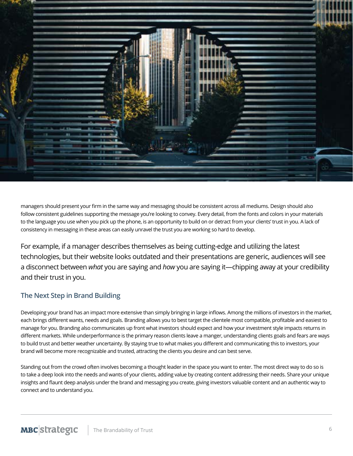

managers should present your firm in the same way and messaging should be consistent across all mediums. Design should also follow consistent guidelines supporting the message you're looking to convey. Every detail, from the fonts and colors in your materials to the language you use when you pick up the phone, is an opportunity to build on or detract from your clients' trust in you. A lack of consistency in messaging in these areas can easily unravel the trust you are working so hard to develop.

For example, if a manager describes themselves as being cutting-edge and utilizing the latest technologies, but their website looks outdated and their presentations are generic, audiences will see a disconnect between *what* you are saying and *how* you are saying it—chipping away at your credibility and their trust in you.

# **The Next Step in Brand Building**

Developing your brand has an impact more extensive than simply bringing in large inflows. Among the millions of investors in the market, each brings different wants, needs and goals. Branding allows you to best target the clientele most compatible, profitable and easiest to manage for you. Branding also communicates up front what investors should expect and how your investment style impacts returns in different markets. While underperformance is the primary reason clients leave a manger, understanding clients goals and fears are ways to build trust and better weather uncertainty. By staying true to what makes you different and communicating this to investors, your brand will become more recognizable and trusted, attracting the clients you desire and can best serve.

Standing out from the crowd often involves becoming a thought leader in the space you want to enter. The most direct way to do so is to take a deep look into the needs and wants of your clients, adding value by creating content addressing their needs. Share your unique insights and flaunt deep analysis under the brand and messaging you create, giving investors valuable content and an authentic way to connect and to understand you.